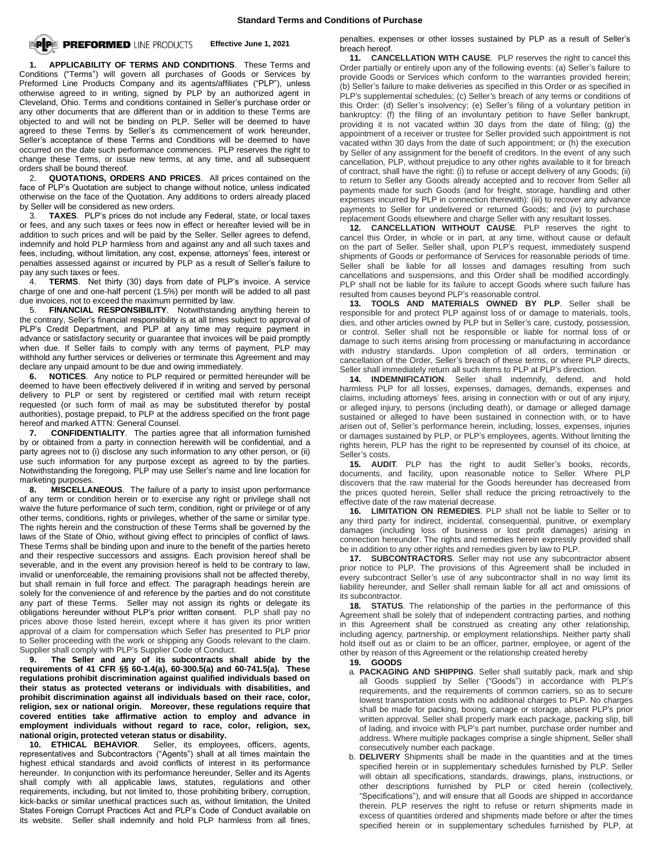

**1. APPLICABILITY OF TERMS AND CONDITIONS**.These Terms and Conditions ("Terms") will govern all purchases of Goods or Services by Preformed Line Products Company and its agents/affiliates ("PLP"), unless otherwise agreed to in writing, signed by PLP by an authorized agent in Cleveland, Ohio. Terms and conditions contained in Seller's purchase order or any other documents that are different than or in addition to these Terms are objected to and will not be binding on PLP. Seller will be deemed to have agreed to these Terms by Seller's its commencement of work hereunder, Seller's acceptance of these Terms and Conditions will be deemed to have occurred on the date such performance commences. PLP reserves the right to change these Terms, or issue new terms, at any time, and all subsequent orders shall be bound thereof.

2. **QUOTATIONS, ORDERS AND PRICES**. All prices contained on the face of PLP's Quotation are subject to change without notice, unless indicated otherwise on the face of the Quotation. Any additions to orders already placed by Seller will be considered as new orders.

3. **TAXES**. PLP's prices do not include any Federal, state, or local taxes or fees, and any such taxes or fees now in effect or hereafter levied will be in addition to such prices and will be paid by the Seller. Seller agrees to defend, indemnify and hold PLP harmless from and against any and all such taxes and fees, including, without limitation, any cost, expense, attorneys' fees, interest or penalties assessed against or incurred by PLP as a result of Seller's failure to pay any such taxes or fees.

4. **TERMS**. Net thirty (30) days from date of PLP's invoice. A service charge of one and one-half percent (1.5%) per month will be added to all past due invoices, not to exceed the maximum permitted by law.

5. **FINANCIAL RESPONSIBILITY**. Notwithstanding anything herein to the contrary, Seller's financial responsibility is at all times subject to approval of PLP's Credit Department, and PLP at any time may require payment in advance or satisfactory security or guarantee that invoices will be paid promptly when due. If Seller fails to comply with any terms of payment, PLP may withhold any further services or deliveries or terminate this Agreement and may declare any unpaid amount to be due and owing immediately.

**6. NOTICES**. Any notice to PLP required or permitted hereunder will be deemed to have been effectively delivered if in writing and served by personal delivery to PLP or sent by registered or certified mail with return receipt requested (or such form of mail as may be substituted therefor by postal authorities), postage prepaid, to PLP at the address specified on the front page hereof and marked ATTN: General Counsel.

**7. CONFIDENTIALITY**. The parties agree that all information furnished by or obtained from a party in connection herewith will be confidential, and a party agrees not to (i) disclose any such information to any other person, or (ii) use such information for any purpose except as agreed to by the parties. Notwithstanding the foregoing, PLP may use Seller's name and line location for marketing purposes.

**8. MISCELLANEOUS**. The failure of a party to insist upon performance of any term or condition herein or to exercise any right or privilege shall not waive the future performance of such term, condition, right or privilege or of any other terms, conditions, rights or privileges, whether of the same or similar type. The rights herein and the construction of these Terms shall be governed by the laws of the State of Ohio, without giving effect to principles of conflict of laws. These Terms shall be binding upon and inure to the benefit of the parties hereto and their respective successors and assigns. Each provision hereof shall be severable, and in the event any provision hereof is held to be contrary to law, invalid or unenforceable, the remaining provisions shall not be affected thereby, but shall remain in full force and effect. The paragraph headings herein are solely for the convenience of and reference by the parties and do not constitute any part of these Terms. Seller may not assign its rights or delegate its obligations hereunder without PLP's prior written consent. PLP shall pay no prices above those listed herein, except where it has given its prior written approval of a claim for compensation which Seller has presented to PLP prior to Seller proceeding with the work or shipping any Goods relevant to the claim. Supplier shall comply with PLP's Supplier Code of Conduct.

**9. The Seller and any of its subcontracts shall abide by the requirements of 41 CFR §§ 60-1.4(a), 60-300.5(a) and 60-741.5(a). These regulations prohibit discrimination against qualified individuals based on their status as protected veterans or individuals with disabilities, and prohibit discrimination against all individuals based on their race, color, religion, sex or national origin. Moreover, these regulations require that covered entities take affirmative action to employ and advance in employment individuals without regard to race, color, religion, sex, national origin, protected veteran status or disability.**

**10. ETHICAL BEHAVIOR**. Seller, its employees, officers, agents, representatives and Subcontractors ("Agents") shall at all times maintain the highest ethical standards and avoid conflicts of interest in its performance hereunder. In conjunction with its performance hereunder, Seller and its Agents shall comply with all applicable laws, statutes, regulations and other requirements, including, but not limited to, those prohibiting bribery, corruption, kick-backs or similar unethical practices such as, without limitation, the United States Foreign Corrupt Practices Act and PLP's Code of Conduct available on its website. Seller shall indemnify and hold PLP harmless from all fines,

penalties, expenses or other losses sustained by PLP as a result of Seller's breach hereof.

**11. CANCELLATION WITH CAUSE**. PLP reserves the right to cancel this Order partially or entirely upon any of the following events: (a) Seller's failure to provide Goods or Services which conform to the warranties provided herein; (b) Seller's failure to make deliveries as specified in this Order or as specified in PLP's supplemental schedules; (c) Seller's breach of any terms or conditions of this Order: (d) Seller's insolvency; (e) Seller's filing of a voluntary petition in bankruptcy: (f) the filing of an involuntary petition to have Seller bankrupt, providing it is not vacated within 30 days from the date of filing; (g) the appointment of a receiver or trustee for Seller provided such appointment is not vacated within 30 days from the date of such appointment; or (h) the execution by Seller of any assignment for the benefit of creditors. In the event of any such cancellation, PLP, without prejudice to any other rights available to it for breach of contract, shall have the right: (i) to refuse or accept delivery of any Goods; (ii) to return to Seller any Goods already accepted and to recover from Seller all payments made for such Goods (and for freight, storage, handling and other expenses incurred by PLP in connection therewith): (iii) to recover any advance payments to Seller for undelivered or returned Goods; and (iv) to purchase replacement Goods elsewhere and charge Seller with any resultant losses.

**12. CANCELLATION WITHOUT CAUSE**. PLP reserves the right to cancel this Order, in whole or in part, at any time, without cause or default on the part of Seller. Seller shall, upon PLP's request, immediately suspend shipments of Goods or performance of Services for reasonable periods of time. Seller shall be liable for all losses and damages resulting from such cancellations and suspensions, and this Order shall be modified accordingly. PLP shall not be liable for its failure to accept Goods where such failure has resulted from causes beyond PLP's reasonable control.

**13. TOOLS AND MATERIALS OWNED BY PLP**. Seller shall be responsible for and protect PLP against loss of or damage to materials, tools, dies, and other articles owned by PLP but in Seller's care, custody, possession, or control. Seller shall not be responsible or liable for normal loss of or damage to such items arising from processing or manufacturing in accordance with industry standards. Upon completion of all orders, termination or cancellation of the Order, Seller's breach of these terms, or where PLP directs, Seller shall immediately return all such items to PLP at PLP's direction.

**14. INDEMNIFICATION**. Seller shall indemnify, defend, and hold harmless PLP for all losses, expenses, damages, demands, expenses and claims, including attorneys' fees, arising in connection with or out of any injury, or alleged injury, to persons (including death), or damage or alleged damage sustained or alleged to have been sustained in connection with, or to have arisen out of, Seller's performance herein, including, losses, expenses, injuries or damages sustained by PLP, or PLP's employees, agents. Without limiting the rights herein, PLP has the right to be represented by counsel of its choice, at Seller's costs.

**15. AUDIT**. PLP has the right to audit Seller's books, records, documents, and facility, upon reasonable notice to Seller. Where PLP discovers that the raw material for the Goods hereunder has decreased from the prices quoted herein, Seller shall reduce the pricing retroactively to the effective date of the raw material decrease.

**16. LIMITATION ON REMEDIES**. PLP shall not be liable to Seller or to any third party for indirect, incidental, consequential, punitive, or exemplary damages (including loss of business or lost profit damages) arising in connection hereunder. The rights and remedies herein expressly provided shall be in addition to any other rights and remedies given by law to PLP.

**17. SUBCONTRACTORS**. Seller may not use any subcontractor absent prior notice to PLP. The provisions of this Agreement shall be included in every subcontract Seller's use of any subcontractor shall in no way limit its liability hereunder, and Seller shall remain liable for all act and omissions of its subcontractor.

**18. STATUS**. The relationship of the parties in the performance of this Agreement shall be solely that of independent contracting parties, and nothing in this Agreement shall be construed as creating any other relationship, including agency, partnership, or employment relationships. Neither party shall hold itself out as or claim to be an officer, partner, employee, or agent of the other by reason of this Agreement or the relationship created hereby

## **19. GOODS**

- a. **PACKAGING AND SHIPPING**. Seller shall suitably pack, mark and ship all Goods supplied by Seller ("Goods") in accordance with PLP's requirements, and the requirements of common carriers, so as to secure lowest transportation costs with no additional charges to PLP. No charges shall be made for packing, boxing, canage or storage, absent PLP's prior written approval. Seller shall properly mark each package, packing slip, bill of lading, and invoice with PLP's part number, purchase order number and address. Where multiple packages comprise a single shipment, Seller shall consecutively number each package.
- b. **DELIVERY** Shipments shall be made in the quantities and at the times specified herein or in supplementary schedules furnished by PLP. Seller will obtain all specifications, standards, drawings, plans, instructions, or other descriptions furnished by PLP or cited herein (collectively, "Specifications"), and will ensure that all Goods are shipped in accordance therein. PLP reserves the right to refuse or return shipments made in excess of quantities ordered and shipments made before or after the times specified herein or in supplementary schedules furnished by PLP, at